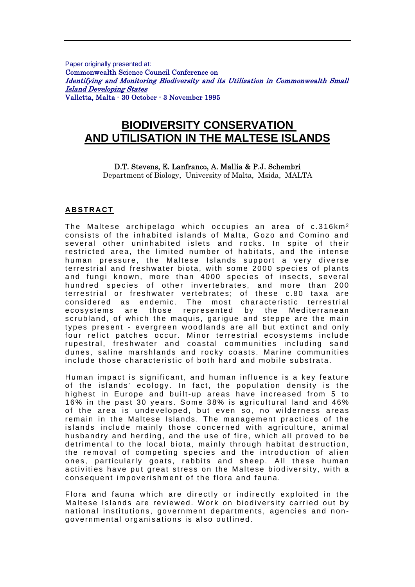Paper originally presented at: Commonwealth Science Council Conference on Identifying and Monitoring Biodiversity and its Utilization in Commonwealth Small Island Developing States Valletta, Malta - 30 October - 3 November 1995

# **BIODIVERSITY CONSERVATION AND UTILISATION IN THE MALTESE ISLANDS**

#### D.T. Stevens, E. Lanfranco, A. Mallia & P.J. Schembri

Department of Biology, University of Malta, Msida, MALTA

#### **ABSTRACT**

The Maltese archipelago which occupies an area of c.316km<sup>2</sup> consists of the inhabited islands of Malta. Gozo and Comino and several other uninhabited islets and rocks. In spite of their restricted area, the limited number of habitats, and the intense human pressure, the Maltese Islands support a very diverse terrestrial and freshwater biota, with some 2000 species of plants and fungi known, more than 4000 species of insects, several hundred species of other invertebrates, and more than 200 terrestrial or freshwater vertebrates; of these c.80 taxa are considered as endemic. The most characteristic terrestrial ecosystems are those represented by the Mediterranean scrubland, of which the maquis, garigue and steppe are the main types present - evergreen woodlands are all but extinct and only four relict patches occur. Minor terrestrial ecosystems include rupestral, freshwater and coastal communities including sand dunes, saline marshlands and rocky coasts. Marine communities include those characteristic of both hard and mobile substrata.

Human impact is significant, and human influence is a key feature of the islands' ecology. In fact, the population density is the highest in Europe and built-up areas have increased from 5 to 16% in the past 30 years. Some 38% is agricultural land and 46% of the area is undeveloped, but even so, no wilderness areas remain in the Maltese Islands. The management practices of the islands include mainly those concerned with agriculture, animal husbandry and herding, and the use of fire, which all proved to be detrimental to the local biota, mainly through habitat destruction, the removal of competing species and the introduction of alien ones, particularly goats, rabbits and sheep. All these human activities have put great stress on the Maltese biodiversity, with a consequent impoverishment of the flora and fauna.

Flora and fauna which are directly or indirectly exploited in the Maltese Islands are reviewed. Work on biodiversity carried out by national institutions, government departments, agencies and nongovernmental organisations is also outlined.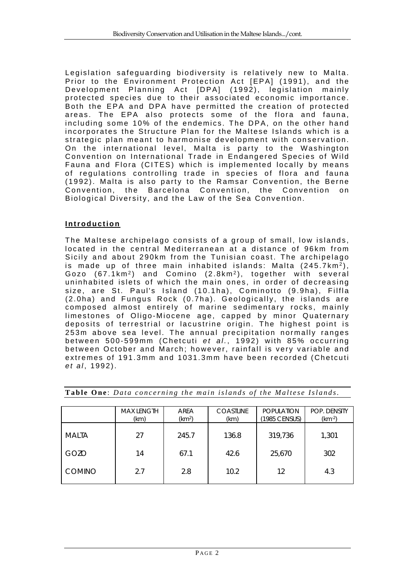Legislation safeguarding biodiversity is relatively new to Malta. Prior to the Environment Protection Act [EPA] (1991), and the Development Planning Act [DPA] (1992), legislation mainly protected species due to their associated economic importance. Both the EPA and DPA have permitted the creation of protected areas. The EPA also protects some of the flora and fauna, including some 10% of the endemics. The DPA, on the other hand incorporates the Structure Plan for the Maltese Islands which is a strategic plan meant to harmonise development with conservation. On the international level, Malta is party to the Washington Convention on International Trade in Endangered Species of Wild Fauna and Flora (CITES) which is implemented locally by means of regulations controlling trade in species of flora and fauna  $(1992)$ . Malta is also party to the Ramsar Convention, the Berne Convention, the Barcelona Convention, the Convention on Biological Diversity, and the Law of the Sea Convention.

### **Introduction**

The Maltese archipelago consists of a group of small, low islands, located in the central Mediterranean at a distance of 96km from Sicily and about 290km from the Tunisian coast. The archipelago is made up of three main inhabited islands: Malta  $(245.7 \text{km}^2)$ , Gozo (67.1km<sup>2</sup>) and Comino (2.8km<sup>2</sup>), together with several uninhabited islets of which the main ones, in order of decreasing size, are St. Paul's Island (10.1ha), Cominotto (9.9ha), Filfla (2.0ha) and Fungus Rock (0.7ha). Geologically, the islands are composed almost entirely of marine sedimentary rocks, mainly limestones of Oligo-Miocene age, capped by minor Quaternary deposits of terrestrial or lacustrine origin. The highest point is 253m above sea level. The annual precipitation normally ranges between 500-599mm (Chetcuti et al., 1992) with 85% occurring between October and March; however, rainfall is very variable and extremes of 191.3mm and 1031.3mm have been recorded (Chetcuti *et al* , 1992).

|               | <b>MAX LENGTH</b><br>(km) | AREA<br>(km <sup>2</sup> ) | <b>COASTLINE</b><br>(km) | <b>POPULATION</b><br>(1985 CENSUS) | <b>POP. DENSITY</b><br>$(km-2)$ |
|---------------|---------------------------|----------------------------|--------------------------|------------------------------------|---------------------------------|
| <b>MALTA</b>  | 27                        | 245.7                      | 136.8                    | 319,736                            | 1,301                           |
| GOZO          | 14                        | 67.1                       | 42.6                     | 25,670                             | 302                             |
| <b>COMINO</b> | 2.7                       | 2.8                        | 10.2                     | 12                                 | 4.3                             |

Table One: *Data concerning the main islands of the Maltese Islands*.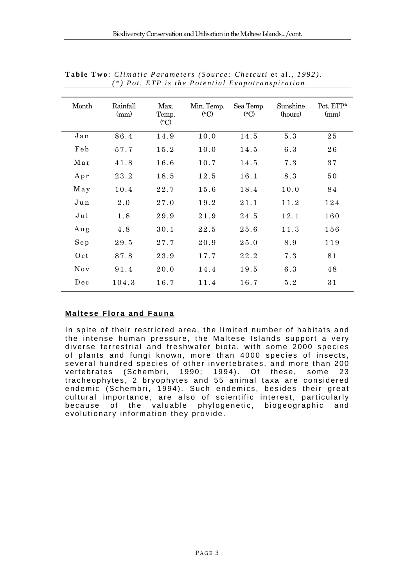| Month | Rainfall<br>(mm) | Max.<br>Temp.<br>$\rm ^{(o}C)$ | Min. Temp.<br>$^{\circ}$ C) | Sea Temp.<br>$\rm ^{(o}C)$ | Sunshine<br>(hours) | Pot. ETP*<br>(mm) |
|-------|------------------|--------------------------------|-----------------------------|----------------------------|---------------------|-------------------|
| Jan   | 86.4             | 14.9                           | 10.0                        | 14.5                       | 5.3                 | 25                |
| Feb   | 57.7             | 15.2                           | 10.0                        | 14.5                       | 6.3                 | 26                |
| Mar   | 41.8             | 16.6                           | 10.7                        | 14.5                       | 7.3                 | 37                |
| Apr   | 23.2             | 18.5                           | 12.5                        | 16.1                       | 8.3                 | 50                |
| May   | 10.4             | 22.7                           | 15.6                        | 18.4                       | 10.0                | 84                |
| Jun   | 2.0              | 27.0                           | 19.2                        | 21.1                       | 11.2                | 124               |
| Jul   | 1.8              | 29.9                           | 21.9                        | 24.5                       | 12.1                | 160               |
| Aug   | 4.8              | 30.1                           | 22.5                        | 25.6                       | 11.3                | 156               |
| Sep   | 29.5             | 27.7                           | 20.9                        | 25.0                       | 8.9                 | 119               |
| 0ct   | 87.8             | 23.9                           | 17.7                        | 22.2                       | 7.3                 | 81                |
| Nov   | 91.4             | 20.0                           | 14.4                        | 19.5                       | 6.3                 | 48                |
| Dec   | 104.3            | 16.7                           | 11.4                        | 16.7                       | 5.2                 | 31                |

| Table Two: Climatic Parameters (Source: Chetcuti et al., 1992). |  |
|-----------------------------------------------------------------|--|
| $(*)$ Pot. ETP is the Potential Evapotranspiration.             |  |

# **Maltese Flora and Fauna**

In spite of their restricted area, the limited number of habitats and the intense human pressure, the Maltese Islands support a very diverse terrestrial and freshwater biota, with some 2000 species of plants and fungi known, more than 4000 species of insects, several hundred species of other invertebrates, and more than 200<br>vertebrates (Schembri, 1990: 1994). Of these. some 23 vertebrates (Schembri, 1990; 1994). Of these, some 23 tracheophytes, 2 bryophytes and 55 animal taxa are considered endemic (Schembri, 1994). Such endemics, besides their great cultural importance, are also of scientific interest, particularly because of the valuable phylogenetic, biogeographic and evolutionary information they provide.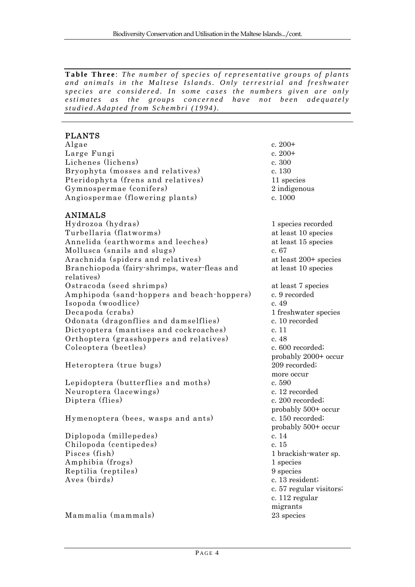Table Three: The number of species of representative groups of plants *and animals in the Maltese Islands. Only terrestrial and freshwater species are considered. In some cases the numbers given are only estimates as the groups concerned have not been adequately studied.Adapted from Schembri (1994).*

### PLANTS

 $\text{Algae}$  c. 200+ Large Fungi c. 200+ Lichenes (lichens) c. 300 Bryophyta (mosses and relatives) c. 130 Pteridophyta (frens and relatives) 11 species Gymnospermae (conifers) 2 indigenous Angiospermae (flowering plants) c. 1000

# ANIMALS

Hydrozoa (hydras) 1 species recorded Turbellaria (flatworms) at least 10 species Annelida (earthworms and leeches) at least 15 species Mollusca (snails and slugs) c. 67 Arachnida (spiders and relatives) at least 200+ species Branchiopoda (fairy-shrimps, water-fleas and relatives) Ostracoda (seed shrimps) at least 7 species Amphipoda (sand-hoppers and beach-hoppers) c. 9 recorded Isopoda (woodlice) c. 49 Decapoda (crabs) 1 freshwater species Odonata (dragonflies and damselflies) c. 10 recorded Dictyoptera (mantises and cockroaches) c. 11 Orthoptera (grasshoppers and relatives) c. 48 Coleoptera (beetles) c. 600 recorded;

Heteroptera (true bugs) 209 recorded;

Lepidoptera (butterflies and moths) c. 590 Neuroptera (lacewings) c. 12 recorded Diptera (flies) c. 200 recorded;

Hymenoptera (bees, wasps and ants) c. 150 recorded;

Diplopoda (millepedes) c. 14 Chilopoda (centipedes) c. 15 Pisces (fish) 1 brackish-water sp. Amphibia (frogs) 1 species Reptilia (reptiles) 9 species Aves (birds) c. 13 resident;

Mammalia (mammals) 23 species

at least 10 species probably 2000+ occur more occur probably 500+ occur probably 500+ occur c. 57 regular visitors; c. 112 regular migrants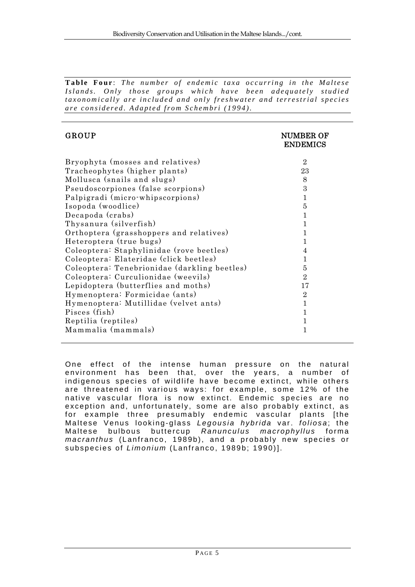**Table Four** : *The number of endemic taxa occurring in the Maltese Islands. Only those groups which have been adequately studied taxonomically are included and only freshwater and terrestrial species are considered. Adapted from Schembri (1994).*

| <b>GROUP</b>                                 | <b>NUMBER OF</b><br><b>ENDEMICS</b> |
|----------------------------------------------|-------------------------------------|
| Bryophyta (mosses and relatives)             | $\overline{2}$                      |
| Tracheophytes (higher plants)                | 23                                  |
| Mollusca (snails and slugs)                  | 8                                   |
| Pseudoscorpiones (false scorpions)           | 3                                   |
| Palpigradi (micro-whipscorpions)             | 1                                   |
| Isopoda (woodlice)                           | 5                                   |
| Decapoda (crabs)                             | 1                                   |
| Thysanura (silverfish)                       | 1                                   |
| Orthoptera (grasshoppers and relatives)      | 1                                   |
| Heteroptera (true bugs)                      | 1                                   |
| Coleoptera: Staphylinidae (rove beetles)     | 4                                   |
| Coleoptera: Elateridae (click beetles)       | 1                                   |
| Coleoptera: Tenebrionidae (darkling beetles) | 5                                   |
| Coleoptera: Curculionidae (weevils)          | $\mathcal{D}_{\alpha}$              |
| Lepidoptera (butterflies and moths)          | 17                                  |
| Hymenoptera: Formicidae (ants)               | $\overline{2}$                      |
| Hymenoptera: Mutillidae (velvet ants)        | 1                                   |
| Pisces (fish)                                | 1                                   |
| Reptilia (reptiles)                          | 1                                   |
| Mammalia (mammals)                           | 1                                   |

One effect of the intense human pressure on the natural environment has been that, over the years, a number of indigenous species of wildlife have become extinct, while others are threatened in various ways: for example, some 12% of the native vascular flora is now ex tinct. Endemic species are no exception and, unfortunately, some are also probably extinct, as for example three presumably endemic vascular plants [the Maltese Venus looking-glass *Legousia hybrida* var. *foliosa* ; the Maltese bulbous buttercup *Ranunculus macrophyllus* forma *macranthus* (Lanfranco, 1989b), and a probably new species or subspecies of *Limonium* (Lanfranco, 1989b; 1990)].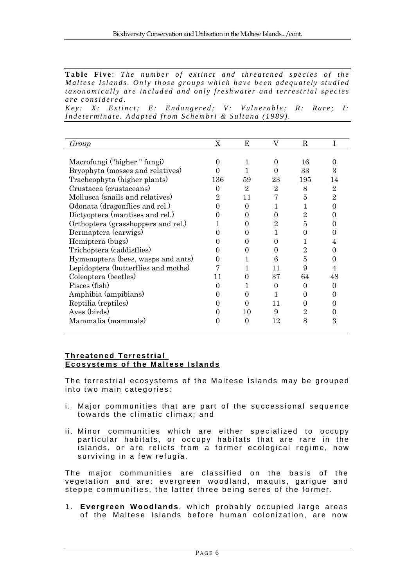Table Five: The number of extinct and threatened species of the *Maltese Islands. Only those groups which have been adequately studied taxonomically are included and only freshwater and terrestrial species are considered.* 

*Key: X: Extinct; E: Endangered; V: Vulnerable; R: Rare; I: Indeterminate. Adapted from Schembri & Sultana (1989).*

| Group                               | X                 | E            | V              | R              |                |
|-------------------------------------|-------------------|--------------|----------------|----------------|----------------|
|                                     |                   |              |                |                |                |
| Macrofungi ("higher" fungi)         | $\mathbf{\Omega}$ |              | $\theta$       | 16             | 0              |
| Bryophyta (mosses and relatives)    |                   |              |                | 33             | 3              |
| Tracheophyta (higher plants)        | 136               | 59           | 23             | 195            | 14             |
| Crustacea (crustaceans)             |                   | 2            | $\overline{2}$ | 8              | 2              |
| Mollusca (snails and relatives)     | 2                 | 11           |                | 5              | $\overline{2}$ |
| Odonata (dragonflies and rel.)      |                   | 0            |                | 1              | 0              |
| Dictyoptera (mantises and rel.)     |                   | $\mathbf{0}$ | 0              | $\overline{2}$ |                |
| Orthoptera (grasshoppers and rel.)  |                   |              | $\overline{2}$ | 5              | $\mathbf{0}$   |
| Dermaptera (earwigs)                |                   | $\mathbf{0}$ |                | 0              |                |
| Hemiptera (bugs)                    |                   | $\mathbf{0}$ | 0              | L              |                |
| Trichoptera (caddisflies)           |                   |              | $\theta$       | $\overline{2}$ | 0              |
| Hymenoptera (bees, wasps and ants)  |                   |              | 6              | 5              |                |
| Lepidoptera (butterflies and moths) |                   |              | 11             | 9              |                |
| Coleoptera (beetles)                | 11                | $\theta$     | 37             | 64             | 48             |
| Pisces (fish)                       |                   |              | 0              | 0              | $\mathbf{0}$   |
| Amphibia (ampibians)                |                   | 0            |                |                | 0              |
| Reptilia (reptiles)                 |                   | 0            | 11             | $\theta$       |                |
| Aves (birds)                        |                   | 10           | 9              | $\overline{2}$ | $\theta$       |
| Mammalia (mammals)                  |                   | 0            | 12             | 8              | 3              |
|                                     |                   |              |                |                |                |

### **Threatened Terrestrial Ecosystems of the Maltese Islands**

The terrestrial ecosystems of the Maltese Islands may be grouped into two main categories:

- i. Major communities that are part of the successional sequence towards the climatic climax; and
- ii. Minor communities which are either specialized to occupy particular habitats, or occupy habitats that are rare in the islands, or are relicts from a former ecological regime, now surviving in a few refugia.

The major communities are classified on the basis of the vegetation and are: evergreen woodland, maquis, garigue and steppe communities, the latter three being seres of the former.

1. **Evergreen Woodlands** , which probably occupied large areas of the Maltese Islands before human colonization, are now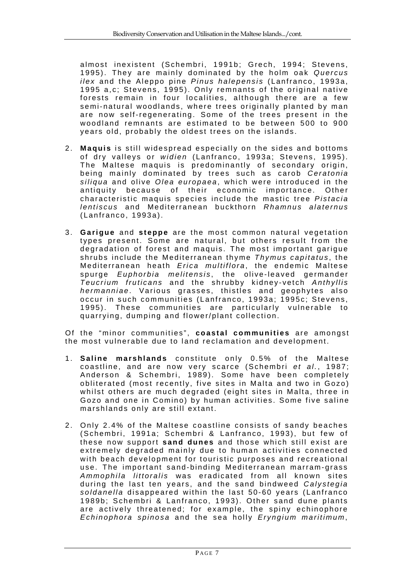almost inexistent (Schembri, 1991b; Grech, 1994; Stevens, 1995). They are mainly dominated by the holm oak *Quercus ilex* and the Aleppo pine *Pinus halepensis* (Lanfranco, 1993a, 1995 a,c; Stevens, 1995). Only rem nants of the original native forests remain in four localities, although there are a few semi-natural woodlands, where trees originally planted by man are now self-regenerating. Some of the trees present in the woodland remnants are estimated to be between 500 to 900 years old, probably the oldest trees on the islands.

- 2. **Maquis** is still widespread especially on the sides and bottoms of dry valleys or *widien* (Lanfranco, 1993a; Stevens, 1995). The Maltese maquis is predominantly of secondary origin, being mainly dominated by trees such as carob *Ceratonia siliqua* and olive *Olea europaea* , which were introduced in the antiquity because of their economic importance. Other characteristic maquis species include the mastic tree *Pistacia lentiscus* and Mediterranean buckthorn *Rhamnus alaternus*  (Lanfranco, 1993a).
- 3. **Garigue** and **steppe** are the most common natural vegetation types present. Some are natural , but others result from the degradation of forest and maquis. The most important garigue shrubs include the Mediterranean thyme *Thymus capitatus* , the Mediterranean heath *Erica multiflora* , the endemic Maltese spurge *Euphorbia melitensis* , the olive-leaved germander *Teucrium fruticans* and the shrubby kidney-vetch *Anthyllis hermanniae* . Various grasses, thistles and geophytes also occur in such communities (Lanfranco, 1993a; 1995c; Stevens, 1995). These communities are particularly vulnerable to quarrying, dumping and flower/plant collection.

Of the "minor communities", **coastal communities** are amongst the most vulnerable due to l and reclamation and development.

- 1. **Saline marshlands** constitute only 0. 5% of the Maltese coastline, and are now very scarce (Schembri *et al.*, 1987; Anderson & Schembri, 1989). Some have been completely obliterated (most recently, five sites in Malta and two in Gozo) whilst others are much degraded (eight sites in Malta, three in Gozo and one in Comino) by human activities. Some five saline marshlands only are still extant.
- 2. Only 2.4% of the Maltese c oastline consists of sandy beaches (Schembri, 1991a; Schembri & Lanfranco, 1993), but few of these now support **sand dunes** and those which still exist are extremely degraded mainly due to human activities connected with beach development for touristic purposes and recreational use. The important sand-binding Mediterranean marram-grass *Ammophila littoralis* was eradicated from all known sites during the last ten y ears, and the sand bindweed *Calystegia soldanella* disappeared within the last 50-60 years (Lanfranco 1989b; Schembri & Lanfranco, 1993). Other sand dune plants are actively threatened; for example, the spiny echinophore *Echinophora spinosa* and the sea holly *Eryngium maritimum* ,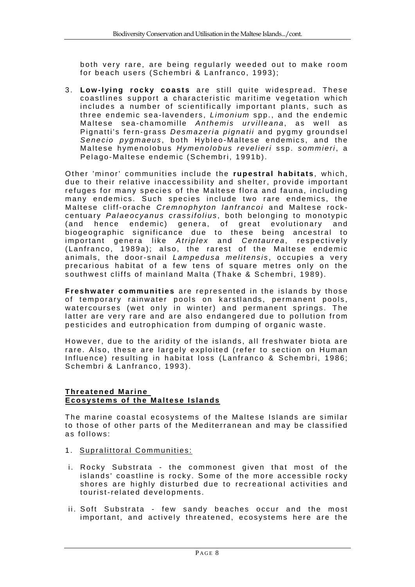both very rare, are being regularly weeded out to make room for beach users (Schembri & Lanfranco, 1993);

3. **Low-lying rocky coasts** are still quite widespread. These coastlines support a characteristic maritime vegetation which includes a number of scientifically important plants, such as three endemic sea-lavenders, *Limonium* spp., and the endemic Maltese sea-chamomille *Anthemis urvilleana* , as well as Pignatti's fern-grass *Desmazeria pignatii* and pygmy groundsel *Senecio pygmaeus* , both Hybleo-Maltese endemics, and the Maltese hymenolobus *Hymenolobus revelieri* ssp. *sommieri* , a Pelago-Maltese endemic (Schembri, 1991b).

Other 'minor' communities include the **rupestral habitats** , which, due to their relative inaccessibility and shelter, provide important refuges for many species of the Maltese flora and fauna, including many endemics. Such species include two rare endemics, the Maltese cliff-orache *Cremnophyton lanfrancoi* and Maltese rockcentuary *Palaeocyanus crassifolius* , both belonging to monotypic (and hence endemic) genera, of great evolutionary and biogeographic significance due to these being ancestral to important genera like *Atriplex* and *Centaurea* , respectively (Lanfranco, 1989a); also, the rarest of the Maltese endemic animals, the door-snail *Lampedusa melitensis* , occupies a very precarious habitat of a few tens of square metres only on the southwest cliffs of mainland Malta (Thake & Schembri, 1989).

**Freshwater communities** are represented in the islands by those of temporary rainwater pools on karstlands, permanent pools, watercourses (wet only in winter) and permanent springs. The latter are very rare and are also endangered due to pollution from pesticides and eutrophication from dumping of organic waste.

However, due to the aridity of the islands, all freshwater biota are rare. Also, these are largely exploited (refer to section on Human Influence) resulting in habitat loss (Lanfranco & Schembri, 1986; Schembri & Lanfranco, 1993).

#### **Threatened Marine Ecosystems of the Maltese Islands**

The marine coastal ecosystems of the Maltese Islands are similar to those of other parts of the Mediterranean and may be classified as follows:

- 1. Supralittoral Communities:
- i. Rocky Substrata the commonest given that most of the islands' coastline is rocky. Some of the more accessible rocky shores are highly disturbed due to recreational activities and tourist-related developments.
- ii. Soft Substrata few sandy beaches occur and the most important, and actively threatened, ecosystems here are the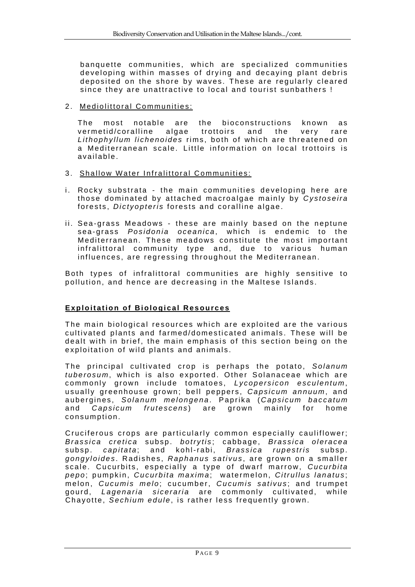banquette communities, which are specialized communities developing within masses of drying and decaying plant debris deposited on the shore by waves. These are regularly cleared since they are unattractive to local and tourist sunbathers !

### 2. Mediolittoral Communities:

The most notable are the bioconstructions known as vermetid/coralline algae trottoirs and the very rare *Lithophyllum lichenoides* rims, both of which are threatened on a Mediterranean scale. Little information on local trottoirs is available.

#### 3. Shallow Water Infralittoral Communities:

- i. Rocky substrata the main communities developing here are those dominated by attached macroalgae mainly by *Cystoseira* forests, *Dictyopteris* forests and coralline algae.
- ii. Sea-grass Meadows these are mainly based on the neptune sea-grass *Posidonia oceanica* , which is endemic to the Mediterranean. These meadows constitute the most important infralittoral community type and, due to various human influences, are regressing throughout the Mediterranean.

Both types of infralittoral comm unities are highly sensitive to pollution, and hence are decreasing in the Maltese Islands.

# **Exploitation of Biological Resources**

The main biological resources which are exploited are the various cultivated plants and farmed/domes ticated animals. These will be dealt with in brief, the main emphasis of this section being on the exploitation of wild plants and animals.

The principal cultivated crop is perhaps the potato, Solanum tuberosum, which is also exported. Other Solanaceae which are commonly grown include tomatoes, *Lycopersicon esculentum* , usually greenhouse grown; bell peppers, *Capsicum annuum*, and aubergines, *Solanum melongena* . Paprika (*Capsicum baccatum* and *Capsicum frutescens* ) are grown mainly for home consumption.

Cruciferous crops are particularly common especially cauliflower; *Brassica cretica* subsp. *botrytis* ; cabbage, *Brassica oleracea* subsp. *capitata* ; and kohl-rabi, *Brassica rupestris* subsp. *gongyloides* . Radishes, *Raphanus sativus* , are grown on a smaller scale. Cucurbits, especially a type of dwarf marrow, *Cucurbita pepo* ; pumpkin, *Cucurbita maxima* ; watermelon, *Citrullus lanatus* ; melon, *Cucumis melo*; cucumber, *Cucumis sativus*; and trumpet gourd, *Lagenaria siceraria* are commonly cultivated, while Chayotte, *Sechium edule* , is rather less frequently grown.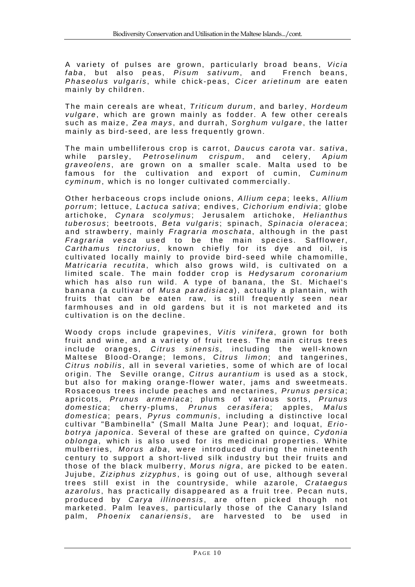A variety of pulses are grown, particularly broad beans, *Vicia faba* , but also peas, *Pisum sativum*, and French beans, *Phaseolus vulgaris* , while chick-peas, *Cicer arietinum* are eaten mainly by children.

The main cereals are wheat, *Triticum durum* , and barley, *Hordeum vulgare* , which are grown mainly as fodder. A few other cereals such as maize, *Zea mays* , and durrah, *Sorghum vulgare* , the latter mainly as bird-seed, are less frequently grown.

The main umbelliferous crop is carrot, *Daucus carota* var. *sativa* , while parsley, *Petroselinum crispum*, and celery, Apium *graveolens* , are grown on a smaller scale. Malta used to be famous for the cultivation and export of cumin, *Cuminum cyminum*, which is no longer cultivated commercially.

Other herbaceous crops include onions, *Allium cepa*; leeks, Allium porrum; lettuce, Lactuca sativa; endives, *Cichorium endivia*; globe artichoke, *Cynara scolymus* ; Jerusalem artichoke, *Helianthus tuberosus* ; beetroots, *Beta vulgaris* ; spinach, *Spinacia oleracea* ; and strawberry, mainly *Fragraria moschata* , although in the past *Fragraria vesca* used to be the main species. Safflower, *Carthamus tinctorius* , known chiefly for its dye and oil, is cultivated locally mainly to provide bird-seed while chamomille. *Matricaria recutita*, which also grows wild, is cultivated on a limited scale. The main fodder crop is *Hedysarum coronarium* which has also run wild. A type of banana, the St. Michael's banana (a cultivar of *Musa paradisiaca* ), actually a plantain, with fruits that can be eaten raw, is still frequently seen near farmhouses and in old gardens but it is not marketed and its cultivation is on the decline.

Woody crops include grapevines. *Vitis vinifera*, grown for both fruit and wine, and a variety of fruit trees. The main citrus trees include oranges, Citrus sinensis, including the well-known Maltese Blood-Orange; lemons, *Citrus limon*; and tangerines, *Citrus nobilis* , all in several varieties, some of which are of local origin. The Seville orange, *Citrus aurantium* is used as a stock, but also for making orange-flower water, jams and sweetmeats. Rosaceous trees incl ude peaches and nectarines, *Prunus persica* ; apricots, *Prunus armeniaca* ; plums of various sorts, *Prunus domestica* ; cherry-plums, *Prunus cerasifera* ; apples, *Malus domestica*; pears, *Pyrus communis* , including a distinctive local cultivar "Bambinella" (Small Malta June Pear); and loquat, *Eriobotrya japonica* . Several of these are grafted on quince, *Cydonia*  oblonga, which is also used for its medicinal properties. White mulberries, *Morus alba*, were introduced during the nineteenth century to support a short-lived silk industry but their fruits and those of the black mulberry, *Morus nigra*, are picked to be eaten. Jujube, *Ziziphus zizyphus* , is going out of use, although several trees still exist in the c ountryside, while azarole, *Crataegus azarolus* , has practically disappeared as a fruit tree. Pecan nuts, produced by *Carya illinoensis* , are often picked though not marketed. Palm leaves, particularly those of the Canary Island palm, *Phoenix canariensis* , are harvested to be used in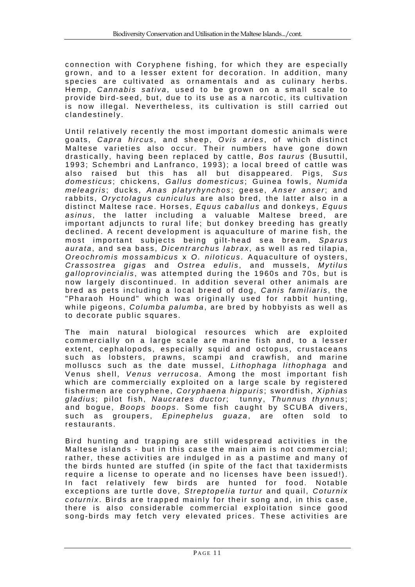connection with Coryphene fishing, for which they are especially grown, and to a lesser extent for decoration. In addition, many species are cultivated as ornamentals and as culinary herbs. Hemp, *Cannabis sativa*, used to be grown on a small scale to provide bird-seed, but, due to its use as a narcotic, its cultivation is now illegal. Nevertheless, its cultivation is still carried out clandestinely.

Until relatively recently the most important domestic animals were goats, *Capra hircus* , and sheep, *Ovis aries* , of which distinct Maltese varieties also occur. Their numbers have gone down drastically, having been replaced by cattle, *Bos taurus* (Busuttil, 1993; Schembri and Lanfranco, 1993); a local breed of cattle was also raised but this has all but disappeared. Pigs, *Sus domesticus* ; chickens, *Gallus domesticus* ; Guinea fowls, *Numida meleagris* ; ducks, *Anas platyrhynchos* ; geese, *Anser anser*; and rabbits, *Oryctolagus cuniculus* are also bred, the latter also in a distinct Maltese race. Horses, *Equus caballus* and donkeys, *Equus asinus* , the latter including a valuable Maltese breed, are important adjuncts to rural life; but donkey breeding has greatly declined. A recent development is aquaculture of marine fish, the most important subjects being gilt-head sea bream, *Sparus aurata* , and sea bass, *Dicentrarchus labrax* , as well as red tilapia, *Oreochromis mossambicus* x *O. niloticus* . Aquaculture of oysters, *Crassostrea gigas* and *Ostrea edulis* , and mussels, *Mytilus galloprovincialis* , was attempted during the 1960s and 70s, but is now largely discontinued. In addition several other animals are bred as pets including a local breed of dog, *Canis familiaris* , the "Pharaoh Hound" which was originally used for rabbit hunting, while pigeons, *Columba palumba* , are bred by hobbyists as well as to decorate public squares.

The main natural biological resources which are exploited commercially on a large scale are marine fish and, to a lesser extent, cephalopods, especially squid and octopus, crustaceans such as lobsters, prawns, scampi and crawfish, and marine molluscs such as the date mussel, *Lithophaga lithophaga* and Venus shell, *Venus verrucosa*. Among the most important fish which are commercially exploited on a large scale by registered fishermen are coryphene, *Coryphaena hippuris* ; swordfish, *Xiphias gladius* ; pilot fish, *Naucrates ductor*; tunny, *Thunnus thynnus* ; and bogue, *Boops boops* . Some fish caught by SCUBA divers, such as groupers, *Epinephelus guaza*, are often sold to restaurants.

Bird hunting and trapping are still widespread activities in the Maltese islands - but in this case the main aim is not commercial; rather, these activities are indulged in as a pastime and many of the birds hunted are stuffed (in spite of the fact that taxidermists require a license to operate and no licenses have been issued!). In fact relatively few birds are hunted for food. Notable exceptions are turtle dove, *Streptopelia turtur* and quail, *Coturnix coturnix* . Birds are trapped mainly for their song and, in this case, there is also considerable commercial exploitation since good song-birds may fetch very elevated prices. These activities are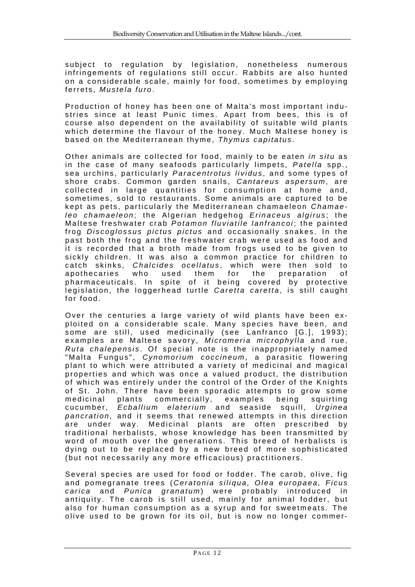subject to regulation by legislation, nonetheless numerous infringements of regulations still occur. Rabbits are also hunted on a considerable scale, mainly for food, sometimes by employing ferrets, *Mustela furo* .

Production of honey has been one of Malta's most important industries since at least Punic times. Apart from bees, this is of course also dependent on the availability of suitable wild plants which determine the flavour of the honey. Much Maltese honey is based on the Mediterranean thyme, *Thymus capitatus* .

Other animals are collected for food, mainly to be eaten *in situ* as in the case of many seafoods particularly limpets, *Patella* spp., sea urchins, particularly *Paracentrotus lividus* , and some types of shore crabs. Common garden snails, *Cantareus aspersum*, are collected in large quantities for consumption at home and, sometimes, sold to restaurants. Some animals are captured to be kept as pets, particularly the Mediterranean chamaeleon *Chamaeleo chamaeleon*; the Algerian hedgehog *Erinaceus algirus*; the Maltese freshwater crab *Potamon fluviatile lanfrancoi* ; the painted frog *Discoglossus pictus pictus* and occasionally snakes. In the past both the frog and the freshwater crab were used as food and it is recorded that a broth made from frogs used to be given to sickly children. It was also a common practice for children to catch skinks, *Chalcides ocellatus* , which were then sold to apothecaries who used them for the preparation of pharmaceuticals. In spite of it being covered by protective legislation, the loggerhead turtle *Caretta caretta*, is still caught for food.

Over the centuries a large variety of wild plants have been exploited on a considerable scale. Many species have been, and some are still, used medicinally (see Lanfranco [G.], 1993); examples are Maltese savory, *Micromeria microphylla* and rue, *Ruta chalepensis* . Of special note is the inappropriately named "Malta Fungus", *Cynomorium coccineum* , a parasitic flowering plant to which were attributed a variety of medicinal and magical properties and which was once a valued product, the distribution of which was entirely under the control of the Order of the Knights of St. John. There have been sporadic attempts to grow some medicinal plants commercially, examples being squirting cucumber, *Ecballium elaterium* and seaside squill, *Urginea pancration* , and it seems that renewed a ttempts in this direction are under way. Medicinal plants are often prescribed by traditional herbalists, whose knowledge has been transmitted by word of mouth over the generations. This breed of herbalists is dying out to be replaced by a new breed of more sophisticated (but not necessarily any more efficacious) practitioners.

Several species are used for food or fodder. The carob, olive, fig and pomegranate trees (*Ceratonia siliqua, Olea europaea, Ficus carica* and *Punica granatum* ) were probably introduced in antiquity. The carob is still used, mainly for animal fodder, but also for human consumption as a syrup and for sweetmeats. The olive used to be grown for its oil, but is now no longer commer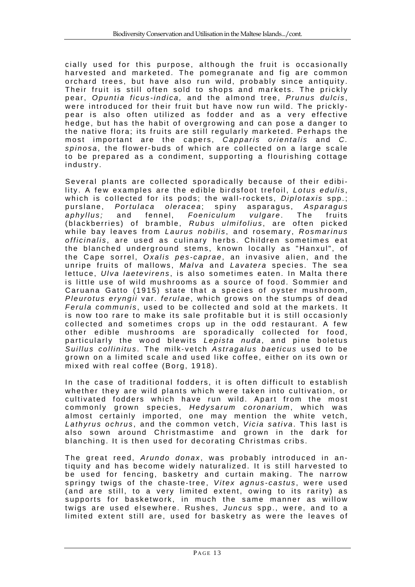cially used for this purpose, although the fruit is occasionally harvested and marketed. The pomegranate and fig are common orchard trees, but have also run wild, probably since antiquity. Their fruit is still often sold to shops and markets. The prickly pear, *Opuntia ficus-indica,* and the almond tree, *Prunus dulcis* , were introduced for their fruit but have now run wild. The pricklypear is also often utilized as fodder and as a very effective hedge, but has the habit of overgrowing and can pose a danger to the native flora; its fruits are still regularly marketed. Perhaps the most important are the capers, *Capparis orientalis* and *C. spinosa* , the flower-buds of which are collected on a large scale to be prepared as a condiment, supporting a flourishing cottage industry.

Several plants are collected sporadically because of their edibility. A few examples are the edible birdsfoot trefoil, *Lotus edulis*, which is collected for its pods; the wall-rockets, *Diplotaxis* spp.; purslane, *Portulaca oleracea* ; spiny asparagus, *Asparagus aphyllus;* and fennel, *Foeniculum vulgare* . The fruits (blackberries) of bramble, Rubus ulmifolius, are often picked while bay leaves from *Laurus nobilis* , and rosemary, *Rosmarinus officinalis* , are used as culinary herbs. Children sometimes eat the blanched underground stems, known locally as "Hanxul", of the Cape sorrel, *Oxalis pes-caprae* , an invasive alien, and the unripe fruits of mallows, *Malva* and *Lavatera* species. The sea lettuce, *Ulva laetevirens* , is also sometimes eaten. In Malta there is little use of wild mushrooms as a source of food. Sommier and Caruana Gatto (1915) state that a species of oyster mushroom, *Pleurotus eryngii* var. *ferulae* , which grows on the stumps of dead *Ferula communis* , used to be collected and sold at the markets. It is now too rare to make its sale profitable but it is still occasionly collected and sometimes crops up in the odd restaurant. A few other edible mushrooms are sporadically collected for food, particularly the wood blewits *Lepista nuda* , and pine boletus *Suillus collinitus* . The milk-vetch *Astragalus baeticus* used to be grown on a limited scale and used like coffee, either on its own or mixed with real coffee (Borg, 1918).

In the case of traditional fodders, it is often difficult to establish whether they are wild plants which were taken into cultivation, or cultivated fodders which have run wild. Apart from the most commonly grown species, *Hedysarum coronarium*, which was almost certainly imported, one may mention the white vetch, *Lathyrus ochrus* , and the common vetch, *Vicia sativa* . This last is also sown around Christmastime and grown in the dark for blanching. It is then used for decorating Christmas cribs.

The great reed, Arundo donax, was probably introduced in antiquity and has become widely naturalized. It is still harvested to be used for fencing, basketry and curtain making. The narrow springy twigs of the chaste-tree, Vitex agnus-castus, were used (and are still, to a very limited extent, owing to its rarity) as supports for basketwork, in much the same manner as willow twigs are used elsewhere. Rushes, *Juncus* spp., were, and to a limited extent still are, used for basketry as were the leaves of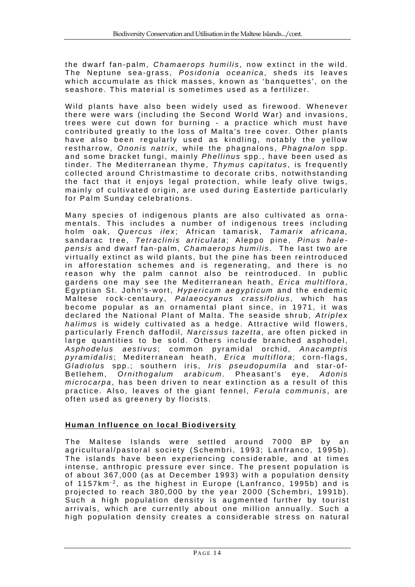the dwarf fan-palm, *Chamaerops humilis* , now extinct in the wild. The Neptune sea-grass, *Posidonia oceanica* , sheds its leaves which accumulate as thick masses, known as 'banquettes', on the seashore. This material is sometimes used as a fertilizer.

Wild plants have also been widely used as firewood. Whenever there were wars (including the Second World War) and invasions, trees were cut down for burning - a practice which must have contributed greatly to the loss of Malta's tree cover. Other plants have also been regularly used as kindling, notably the yellow restharrow, Ononis natrix, while the phagnalons, *Phagnalon* spp. and some bracket fungi, mainly *Phellinus* spp., have been used as tinder. The Mediterranean thyme, *Thymus capitatus* , is frequently collected around Christmastime to decorate cribs, notwithstanding the fact that it enjoys legal protection, while leafy olive twigs, mainly of cultivated origin, are used during Eastertide particularly for Palm Sunday celebrations.

Many species of indigenous plants are also cultivated as ornamentals. This includes a number of indigenous trees including holm oak, Quercus ilex; African tamarisk, Tamarix africana, sandarac tree, Tetraclinis articulata; Aleppo pine, Pinus hale*pensis* and dwarf fan-palm, *Chamaerops humilis* . The last two are virtually extinct as wild plants, but the pine has been reintroduced in afforestation schemes and is regenerating, and there is no reason why the palm cannot also be reintroduced. In public gardens one may see the Mediterranean heath, *Erica multiflora*, Egyptian St. John's-wort, *Hypericum aegypticum* and the endemic Maltese rock-centaury, Palaeocyanus crassifolius, which has become popular as an ornamental plant since, in 1971, it was declared the National Plant of Malta. The seaside shrub, *Atriplex halimus* is widely cultivated as a hedge. Attractive wild flowers, particularly French daffodil, *Narcissus tazetta* , are often picked in large quantities to be sold. Others include branched asphodel, *Asphodelus aestivus* ; common pyramidal orchid, *Anacamptis*  pyramidalis; Mediterranean heath, *Erica multiflora*; corn-flags, *Gladiolus* spp.; southern iris, *Iris pseudopumila* and star-of-Betlehem, *Ornithogalum arabicum* . Pheasant's eye, *Adonis microcarpa*, has been driven to near extinction as a result of this practice. Also, leaves of the giant fennel, *Ferula communis* , are often used as greenery by florists.

# **Human Influence on local Biodiversity**

The Maltese Islands were settled around 7000 BP by an agricultural/pastoral society (Schembri, 1993; Lanfranco, 1995b). The islands have been experiencing considerable, and at times intense, anthropic pressure ever since. The present population is of about 367,000 (as at December 1993) with a population density of 1157km<sup>-2</sup>, as the highest in Europe (Lanfranco, 1995b) and is projected to reach 380,000 by the year 2000 (Schembri, 1991b). Such a high population density is augmented further by tourist arrivals, which are currently about one million annually. Such a high population density creates a considerable stress on natural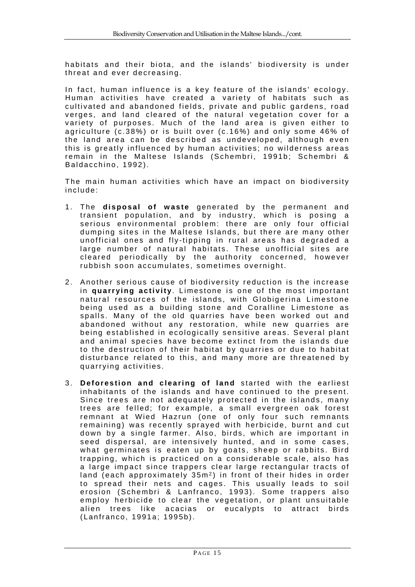habitats and their biota, and the islands' biodiversity is under threat and ever decreasing.

In fact, human influence is a key feature of the islands' ecology. Human activities have created a variety of habitats such as cultivated and abandoned fields, private and public gardens, road verges, and land cleared of the natural vegetation cover for a variety of purposes. Much of the land area is given either to agriculture (c.38%) or is built over (c.16%) and only some 46% of the land area can be described as undeveloped, although even this is greatly influenced by human activities; no wilderness areas remain in the Maltese Islands (Schembri, 1991b; Schembri & Baldacchino, 1992).

The main human activities which have an impact on biodiversity include:

- 1. The **disposal of waste** generated by the permanent and transient population, and by industry, which is posing a serious environmental problem: there are only four official dumping sites in the Maltese Islands, but there are many other unofficial ones and fly-tipping in rural areas has degraded a large number of natural habitats. These unofficial sites are cleared periodically by the authority concerned, however rubbish soon accumulates, sometimes overnight.
- 2. Another serious cause of biodiversity reduction is the increase in **quarrying activity**. Limestone is one of the most important natural resources of the islands, with Globigerina Limestone being used as a building stone and Coralline Limestone as spalls. Many of the old quarries have been worked out and abandoned without any restoration, while new quarries are being established in ecologically sensitive areas. Several plant and animal species have become ex tinct from the islands due to the destruction of their habitat by quarries or due to habitat disturbance related to this, and many more are threatened by quarrying activities.
- 3. **Deforestion and clearing of land** started with the earliest inhabitants of the islands and have continued to the present. Since trees are not adequately protected in the islands, many trees are felled; for example, a small evergreen oak forest remnant at Wied Hazrun (one of only four such remnants remaining) was recently sprayed with herbicide, burnt and cut down by a single farmer. Also, birds, which are important in seed dispersal, are intensively hunted, and in some cases, what germinates is eaten up by goats, sheep or rabbits. Bird trapping, which is practiced on a considerable scale, also has a large impact since trappers clear large rectangular tracts of land (each approximately  $35m<sup>2</sup>$ ) in front of their hides in order to spread their nets and cages. This usually leads to soil erosion (Schembri & Lanfranco, 1993). Some trappers also employ herbicide to clear the vegetation, or plant unsuitable alien trees like acacias or eucalypts to attract birds (Lanfranco, 1991a; 1995b).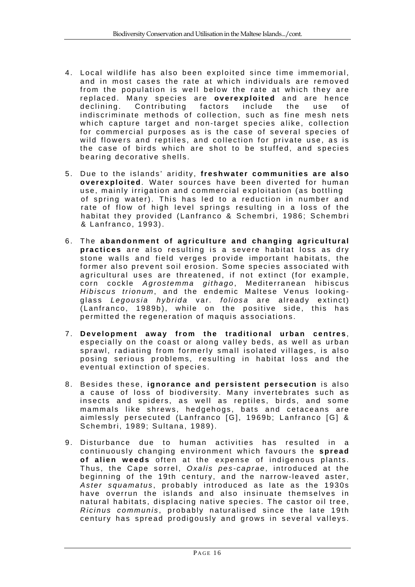- 4. Local wildlife has also been ex ploited since time immemorial, and in most cases the rate at which individuals are removed from the population is well below the rate at which they are replaced. Many species are **overexploited** and are hence declining. Contributing factors include the use of indiscriminate methods of collection, such as fine mesh nets which capture target and non-target species alike, collection for commercial purposes as is the case of several species of wild flowers and reptiles, and collection for private use, as is the case of birds which are shot to be stuffed, and species bearing decorative shells.
- 5. Due to the islands' aridity, **freshwater communities are also overexploited**. Water sources have been diverted for human use, mainly irrigation and commercial exploitation (as bottling of spring water). This has led to a reduction in number and rate of flow of high level springs resulting in a loss of the habitat they provided (Lanfranco & Schembri, 1986; Schembri & Lanfranco, 1993).
- 6. The **abandonment of agriculture and changing agricultural practices** are also resulting is a severe habitat loss as dry stone walls and field verges provide important habitats, the former also prevent soil erosion. Some species associated with agricultural uses are threatened, if not extinct (for example, corn cockle *Agrostemma githago* , Mediterranean hibiscus *Hibiscus trionum*, and the endemic Maltese Venus lookingglass *Legousia hybrida* var. *foliosa* are already extinct) (Lanfranco, 1989b), while on the positive side, this has permitted the regeneration of maquis associations.
- 7. **Development away from the traditional urban centres** , especially on the coast or along valley beds, as well as urban sprawl, radiating from formerly small isolated villages, is also posing serious problems, resulting in habitat loss and the eventual extinction of species.
- 8. Besides these, ignorance and persistent persecution is also a cause of loss of biodiversity. Many invertebrates such as insects and spiders, as well as reptiles, birds, and some mammals like shrews, hedgehogs, bats and cetaceans are aimlessly persecuted (Lanfranco [G], 1969b; Lanfranco [G] & Schembri, 1989; Sultana, 1989).
- 9. Disturbance due to human activities has resulted in a continuously changing environm ent which favours the **spread of alien weeds** often at the expense of indigenous plants. Thus, the Cape sorrel, *Oxalis pes-caprae* , introduced at the beginning of the 19th century, and the narrow-leaved aster, *Aster squamatus* , probably introduced as late as the 1930s have overrun the islands and also insinuate themselves in natural habitats, displacing native species. The castor oil tree, *Ricinus communis* , probably naturalised since the late 19th century has spread prodigously and grows in several valleys.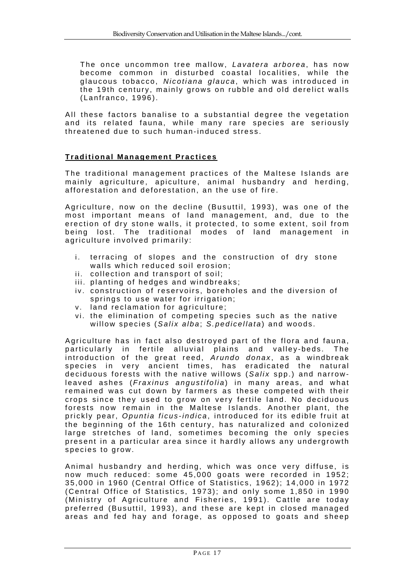The once uncommon tree mallow, *Lavatera arborea* , has now become common in disturbed coastal localities, while the glaucous tobacco, *Nicotiana glauca* , which was introduced in the 19th century, mainly grows on rubble and old derelict walls (Lanfranco, 1996).

All these factors banalise to a substantial degree the vegetation and its related fauna, while many rare species are seriously threatened due to such human-induced stress.

#### **Traditional Management Practices**

The traditional management practices of the Maltese Islands are mainly agriculture, apiculture, animal husbandry and herding, afforestation and deforestation, an the use of fire.

Agriculture, now on the decline (Busuttil, 1993), was one of the most important means of land management, and, due to the erection of dry stone walls, it protected, to some extent, soil from being lost. The traditional modes of land management in agriculture involved primarily:

- i. terracing of slopes and the construction of dry stone walls which reduced soil erosion;
- ii. collection and transport of soil;
- iii. planting of hedges and windbreaks;
- iv. construction of reservoirs, boreholes and the diversion of springs to use water for irrigation;
- v. land reclamation for agriculture;
- vi. the elimination of competing species such as the native willow species (Salix alba; S.pedicellata) and woods.

Agriculture has in fact also destroyed part of the flora and fauna, particularly in fertile alluvial plains and valley-beds. The introduction of the great reed, *Arundo donax* , as a windbreak species in very ancient times, has eradicated the natural deciduous forests with the native willows (*Salix* spp.) and narrowleaved ashes (*Fraxinus angustifolia*) in many areas, and what remained was cut down by farmers as these competed with their crops since they used to grow on very fertile land. No deciduous forests now remain in the Maltese Islands. Another plant, the prickly pear, *Opuntia ficus-indica* , introduced for its edible fruit at the beginning of the 16th century, has naturalized and colonized large stretches of land, sometimes becoming the only species present in a particular area since it hardly allows any undergrowth species to grow.

Animal husbandry and herding, which was once very diffuse, is now much reduced: some 45,000 goats were recorded in 1952; 35,000 in 1960 (Central Office of Statistics, 1962); 14,000 in 1972 (Central Office of Statistics, 1973); and only some 1,850 in 1990 (Ministry of Agriculture and Fisheries, 1991). Cattle are today preferred (Busuttil, 1993), and these are kept in closed managed areas and fed hay and forage, as opposed to goats and sheep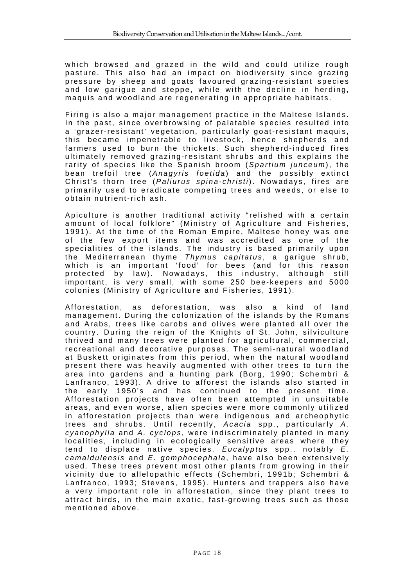which browsed and grazed in the wild and could utilize rough pasture. This also had an impact on biodiversity since grazing pressure by sheep and goats favoured grazing-resistant species and low garique and steppe, while with the decline in herding, maquis and woodland are regenerating in appropriate habitats.

Firing is also a major management practice in the Maltese Islands. In the past, since overbrowsing of palatable species resulted into a 'grazer-resistant' vegetation, particularly goat-resistant maquis, this became impenetrable to livestock, hence shepherds and farmers used to burn the thickets. Such shepherd-induced fires ultimately removed grazing-resistant shrubs and this explains the rarity of species like the Spanish broom (Spartium junceum), the bean trefoil tree (*Anagyris foetida*) and the possibly extinct Christ's thorn tree (*Paliurus spina-christi*). Nowadays, fires are primarily used to eradicate competing trees and weeds, or else to obtain nutrient-rich ash.

Apiculture is another traditional activity "relished with a certain amount of local folklore" (Ministry of Agriculture and Fisheries, 1991). At the time of the Roman Empire, Maltese honey was one of the few export items and was accredited as one of the specialities of the islands. The industry is based primarily upon the Mediterranean thyme *Thymus capitatus* , a garigue shrub, which is an important 'food' for bees (and for this reason protected by law). Nowadays, this industry, although still important, is very small, with some 250 bee-keepers and 5000 colonies (Ministry of Agriculture and Fisheries, 1991).

Afforestation, as deforestation, was also a kind of land management. During the colonization of the islands by the Romans and Arabs, trees like carobs and olives were planted all over the country. During the reign of the Knights of St. John, silviculture thrived and many trees were planted for agricultural, commercial, recreational and decorative purposes. The semi-natural woodland at Buskett originates from this period, when the natural woodland present there was heavily augmented with other trees to turn the area into gardens and a hunting park (Borg, 1990; Schembri & Lanfranco, 1993). A drive to afforest the islands also started in the early 1950's and has continued to the present time. Afforestation projects have o ften been attempted in unsuitable areas, and even worse, alien species were more commonly utilized in afforestation projects than were indigenous and archeophytic trees and shrubs. Until recently, *Acacia* spp., particularly *A. cyanophylla* and *A. cyclops* , were indiscriminately planted in many localities, including in ecologically sensitive areas where they tend to displace native species. *Eucalyptus* spp., notably *E. camaldulensis* and *E. gomphocephala* , have also been extensively used. These trees prevent most other plants from growing in their vicinity due to allelopathic effects (Schembri, 1991b; Schembri & Lanfranco, 1993; Stevens, 1995). Hunters and trappers also have a very important role in afforestation, since they plant trees to attract birds, in the main exotic, fast-growing trees such as those mentioned above.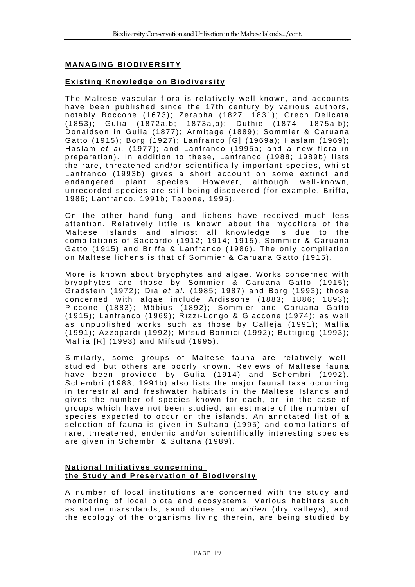# **MANAGING BIODIVERSITY**

### **Existing Knowledge on Biodiversity**

The Maltese vascular flora is relatively well-known, and accounts have been published since the 17th century by various authors, notably Boccone (1673); Zerapha (1827; 1831); Grech Delicata (1853); Gulia (1872a,b; 1873a,b); Duthie (1874; 1875a,b); Donaldson in Gulia (1877); Armitage (1889); Sommier & Caruana Gatto (1915); Borg (1927); Lanfranco [G] (1969a); Haslam (1969); Haslam *et al.* (1977); and Lanfranco (1995a; and a new flora in preparation). In addition to these, Lanfranco (1988; 1989b) lists the rare, threatened and/or scientifica lly important species, whilst Lanfranco (1993b) gives a short account on some extinct and endangered plant species. However, although well-known, unrecorded species are still being discovered (for example, Briffa, 1986; Lanfranco, 1991b; Tabone, 1995).

On the other hand fungi and lichens have received much less attention. Relatively little is known about the mycoflora of the Maltese Islands and almost all knowledge is due to the compilations of Saccardo (1912; 1914; 1915), Sommier & Caruana Gatto (1915) and Briffa & Lanfranco (1986). The only compilation on Maltese lichens is that of Sommier & Caruana Gatto (1915).

More is known about bryophytes and algae. Works concerned with bryophytes are those by Sommier & Caruana Gatto (1915); Gradstein (1972); Dia *et al.* (1985; 1987) and Borg (1993); those concerned with algae include Ardissone (1883; 1886; 1893); Piccone (1883); Möbius (1892); Sommier and Caruana Gatto (1915); Lanfranco (1969); Rizzi-Longo & Giaccone (1974); as well as unpublished works such as those by Calleja (1991); Mallia (1991); Azzopardi (1992); Mifsud Bonnici (1992); Buttigieg (1993); Mallia [R] (1993) and Mifsud (1995).

Similarly, some groups of Maltese fauna are relatively wellstudied, but others are poorly known. Reviews of Maltese fauna have been provided by Gulia (1914) and Schembri (1992). Schembri (1988; 1991b) also lists the major faunal taxa occurring in terrestrial and freshwater habitats in the Maltese Islands and gives the number of species known for each, or, in the case of groups which have not been studied, an estimate of the number of species expected to occur on the islands. An annotated list of a selection of fauna is given in Sultana (1995) and compilations of rare, threatened, endemic and/or scientifically interesting species are given in Schembri & Sultana (1989).

### **National Initiatives concerning the Study and Preservation of Biodiversity**

A number of local institutions are concerned with the study and monitoring of local biota and ecosystems. Various habitats such as saline marshlands, sand dunes and *widien* (dry valleys), and the ecology of the organisms living therein, are being studied by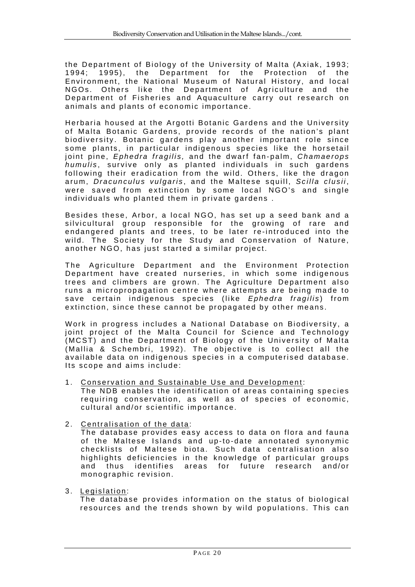the Department of Biology of the University of Malta (Axiak, 1993; 1994; 1995), the Department for the Protection of the Environment, the National Museum of Natural History, and local NGOs. Others like the Department of Agriculture and the Department of Fisheries and Aquaculture carry out research on animals and plants of economic importance.

Herbaria housed at the Argotti Botanic Gardens and the University of Malta Botanic Gardens, provide records of the nation's plant biodiversity. Botanic gardens play another important role since some plants, in particular indigenous species like the horsetail joint pine, *Ephedra fragilis,* and the dwarf fan-palm, *Chamaerops humulis* , survive only as planted individuals in such gardens following their eradication from the wild. Others, like the dragon arum, *Dracunculus vulgaris* , and the Maltese squill, *Scilla clusii* , were saved from extinction by some local NGO's and single individuals who planted them in private gardens .

Besides these, Arbor, a local NGO, has set up a seed bank and a silvicultural group responsible for the growing of rare and endangered plants and trees, to be later re-introduced into the wild. The Society for the Study and Conservation of Nature, another NGO, has just started a similar project.

The Agriculture Department and the Environment Protection Department have created nurseries, in which some indigenous trees and climbers are grown. The Agriculture Department also runs a micropropagation centre where attempts are being made to save certain indigenous species (like *Ephedra fragilis*) from extinction, since these cannot be propagated by other means.

Work in progress includes a National Database on Biodiversity, a joint project of the Malta Council for Science and Technology (MCST) and the Department of Biology of the University of Malta (Mallia & Schembri, 1992). The objective is to collect all the available data on indigenous species in a computerised database. Its scope and aims include:

1. Conservation and Sustainable Use and Development:

The NDB enables the identification of areas containing species requiring conservation, as well as of species of economic, cultural and/or scientific importance.

2. Centralisation of the data :

The database provides easy access to data on flora and fauna of the Maltese Islands and up-to-date annotated synonymic checklists of Maltese biota. Such data centralisation also highlights deficiencies in the knowledge of particular groups and thus identifies areas for future research and/or monographic revision.

3. Legislation :

The database provides information on the status of biological resources and the trends shown by wild populations. This can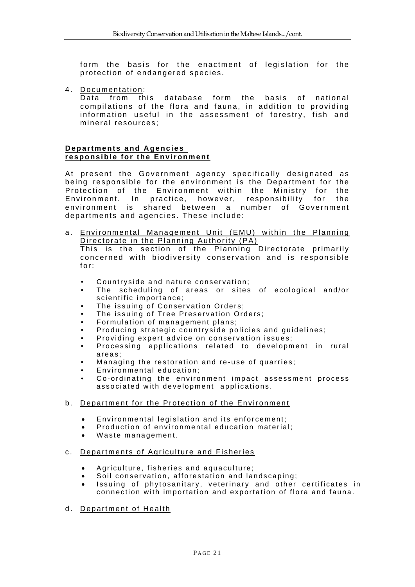form the basis for the enactment of legislation for the protection of endangered species.

4. Documentation :

Data from this database form the basis of national compilations of the flora and fauna, in addition to providing information useful in the assessment of forestry, fish and mineral resources;

#### **Departments and Agencies responsible for the Environment**

At present the Government agency specifically designated as being responsible for the environment is the Department for the Protection of the Environment within the Ministry for the Environment. In practice, however, responsibility for the environment is shared between a number of Government departments and agencies. These include:

a. Environmental Management Unit (EMU) within the Planning Directorate in the Planning Authority (PA) This is the section of the Planning Directorate primarily

concerned with biodiversity conservation and is responsible for:

- Countryside and nature conservation;
- The scheduling of areas or sites of ecological and/or scientific importance;
- The issuing of Conservation Orders;
- The issuing of Tree Preservation Orders;
- Formulation of management plans;
- Producing strategic countryside policies and guidelines;
- Providing expert advice on conservation issues;
- Processing applications related to development in rural areas;
- Managing the restoration and re-use of quarries;
- Environmental education;
- Co-ordinating the environment impact assessment process associated with development applications.
- b. Department for the Protection of the Environment
	- Environmental legislation and its enforcement;
	- Production of environmental education material;
	- Waste management.

#### c. Departments of Agriculture and Fisheries

- Agriculture, fisheries and aquaculture;
- Soil conservation, afforestation and landscaping;
- Issuing of phytosanitary, veterinary and other certificates in connection with importation and exportation of flora and fauna.
- d. Department of Health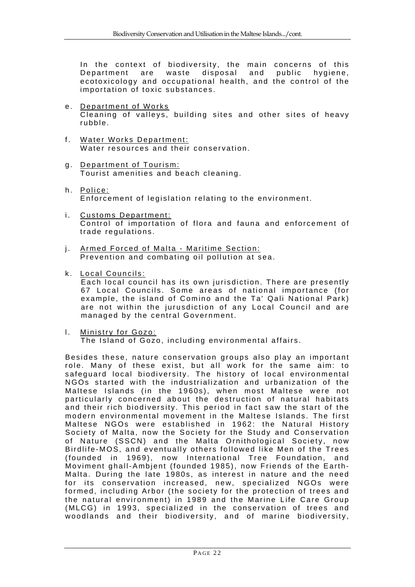In the context of biodiversity, the main concerns of this Department are waste disposal and public hygiene, ecotoxicology and occupational health, and the control of the importation of toxic substances.

- e. Department of Works Cleaning of valleys, building sites and other sites of heavy rubble.
- f. Water Works Department: Water resources and their conservation.
- g. Department of Tourism: Tourist amenities and beach cleaning.
- h. Police: Enforcement of legislation relating to the environment.
- i. Customs Department: Control of importation of flora and fauna and enforcement of trade regulations.
- j. Armed Forced of Malta Maritime Section: Prevention and combating oil pollution at sea.
- k. Local Councils:

Each local council has its own jurisdiction. There are presently 67 Local Councils. Some areas of national importance (for example, the island of Comino and the Ta' Qali National Park) are not within the jurusdiction of any Local Council and are managed by the central Government.

l. Ministry for Gozo:

The Island of Gozo, including environmental affairs.

Besides these, nature conservation groups also play an important role. Many of these exist, but all work for the same aim: to safeguard local biodiversity. The history of local environmental NGOs started with the industrialization and urbanization of the Maltese Islands (in the 1960s), when most Maltese were not particularly concerned about the destruction of natural habitats and their rich biodiversity. This period in fact saw the start of the modern environmental movement in the Maltese Islands. The first Maltese NGOs were established in 1962: the Natural History Society of Malta, now the Society for the Study and Conservation of Nature (SSCN) and the Malta Ornithological Society, now Birdlife-MOS, and eventually others followed like Men of the Trees (founded in 1969), now International Tree Foundation, and Moviment ghall-Ambjent (founded 1985), now Friends of the Earth-Malta. During the late 1980s, as interest in nature and the need for its conservation increased, new, specialized NGOs were formed, including Arbor (the society for the protection of trees and the natural environment) in 1989 and the Marine Life Care Group (MLCG) in 1993, specialized in the conservation of trees and woodlands and their biodiversity, and of marine biodiversity,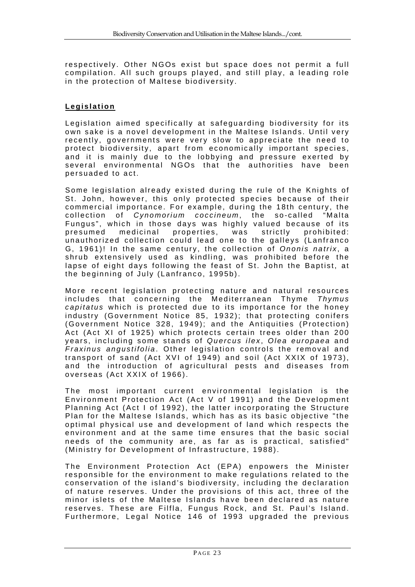respectively. Other NGOs exist but space does not permit a full compilation. All such groups played, and still play, a leading role in the protection of Maltese biodiversity.

### **Legislation**

Legislation aimed specifically at safeguarding biodiversity for its own sake is a novel development in the Maltese Islands. Until very recently, governments were very slow to appreciate the need to protect biodiversity, apart from economically important species, and it is mainly due to the lobbying and pressure exerted by several environmental NGOs that the authorities have been persuaded to act.

Some legislation already existed during the rule of the Knights of St. John, however, this only protected species because of their commercial importance. For example, during the 18th century, the collection of *Cynomorium coccineum*, the so-called "Malta Fungus", which in those days was highly valued because of its presumed medicinal properties, was strictly prohibited: unauthorized collection could lead one to the galleys (Lanfranco G, 1961)! In the same century, the collection of *Ononis natrix* , a shrub extensively used as kindling, was prohibited before the lapse of eight days following the feast of St. John the Baptist, at the beginning of July (Lanfranco, 1995b).

More recent legislation protecting nature and natural resources includes that concerning the Mediterranean Thyme *Thymus capitatus* which is protected due to its importance for the honey industry (Government Notice 85, 1932); that protecting conifers (Government Notice 328, 1949); and the Antiquities (Protection) Act (Act XI of 1925) which protects certain trees older than 200 years, including some stands of *Quercus ilex* , *Olea europaea* and *Fraxinus angustifolia*. Other legislation controls the removal and transport of sand (Act XVI of 1949) and soil (Act XXIX of 1973), and the introduction of agricultural pests and diseases from overseas (Act XXIX of 1966).

The most important current environmental legislation is the Environment Protection Act (Act V of 1991) and the Development Planning Act (Act I of 1992), the latter incorporating the Structure Plan for the Maltese Islands, which has as its basic objective "the optimal physical use and development of land which respects the environment and at the same time ensures that the basic social needs of the community are, as far as is practical, satisfied" (Ministry for Development of Infrastructure, 1988).

The Environment Protection Act (EPA) enpowers the Minister responsible for the environment to make regulations related to the conservation of the island's biodiversity, including the declaration of nature reserves. Under the provisions of this act, three of the minor islets of the Maltese Is lands have been declared as nature reserves. These are Filfla, Fungus Rock, and St. Paul's Island. Furthermore, Legal Notice 146 of 1993 upgraded the previous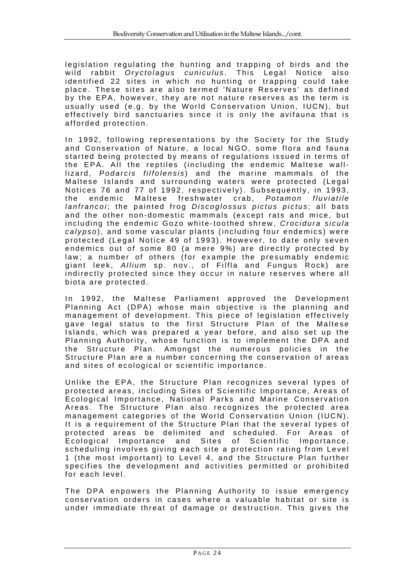legislation regulating the hunting and trapping of birds and the wild rabbit *Oryctolagus cuniculus* . This Legal Notice also identified 22 sites in which no hunting or trapping could take place. These sites are also termed 'Nature Reserves' as defined by the EPA, however, they are not nature reserves as the term is usually used (e.g. by the World Conservation Union, IUCN), but effectively bird sanctuaries since it is only the avifauna that is afforded protection.

In 1992, following representations by the Society for the Study and Conservation of Nature, a local NGO, some flora and fauna started being protected by means of regulations issued in terms of the EPA. All the reptiles (including the endemic Maltese walllizard, *Podarcis filfolensis* ) and the marine mammals of the Maltese Islands and surrounding waters were protected (Legal Notices 76 and 77 of 1992, respectively). Subsequently, in 1993, the endemic Maltese freshwater crab, *Potamon fluviatile lanfrancoi*; the painted frog *Discoglossus pictus pictus*; all bats and the other non-domestic mammals (except rats and mice, but including the endemic Gozo white-toothed shrew, *Crocidura sicula calypso* ), and some vascular plants (including four endemics) were protected (Legal Notice 49 of 1993). However, to date only seven endemics out of some 80 (a mere 9%) are directly protected by law; a number of others (for example the presumably endemic giant leek, *Allium* sp. nov., of Filfla and Fungus Rock) are indirectly protected since they occur in nature reserves where all biota are protected.

In 1992, the Maltese Parliament approved the Development Planning Act (DPA) whose main objective is the planning and management of development. This piece of legislation effectively gave legal status to the first Structure Plan of the Maltese Islands, which was prepared a year before, and also set up the Planning Authority, whose function is to implement the DPA and the Structure Plan. Amongst the numerous policies in the Structure Plan are a number concerning the conservation of areas and sites of ecological or scientific importance.

Unlike the EPA, the Structure Plan recognizes several types of protected areas, including Sites of Scientific Importance, Areas of Ecological Importance, National Parks and Marine Conservation Areas. The Structure Plan also recognizes the protected area management categories of the World Conservation Union (IUCN). It is a requirement of the Structure Plan that the several types of protected areas be delimited and scheduled. For Areas of Ecological Importance and Sites of Scientific Importance, scheduling involves giving each site a protection rating from Level 1 (the most important) to Level 4, and the Structure Plan further specifies the development and activities permitted or prohibited for each level.

The DPA enpowers the Planning Authority to issue emergency conservation orders in cases where a valuable habitat or site is under immediate threat of damage or destruction. This gives the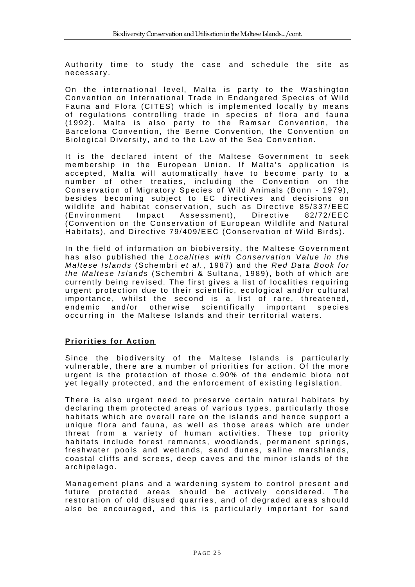Authority time to study the case and schedule the site as necessary.

On the international level, Malta is party to the Washington Convention on International Trade in Endangered Species of Wild Fauna and Flora (CITES) which is implemented locally by means of regulations controlling trade in species of flora and fauna (1992). Malta is also party to the Ramsar Convention, the Barcelona Convention, the Berne Convention, the Convention on Biological Diversity, and to the Law of the Sea Convention.

It is the declared intent of the Maltese Government to seek membership in the European Union. If Malta's application is accepted, Malta will automatically have to become party to a number of other treaties, in cluding the Convention on the Conservation of Migratory Species of Wild Animals (Bonn - 1979), besides becoming subject to EC directives and decisions on wildlife and habitat conservation, such as Directive 85/337/EEC (Environment Impact Assessm ent), Directive 82/72/EEC (Convention on the Conservation of European Wildlife and Natural Habitats), and Directive 79/409/EEC (Conservation of Wild Birds).

In the field of information on biobiversity, the Maltese Government has also published the *Localities with Conservation Value in the Maltese Islands* (Schembri *et al.* , 1987) and the *Red Data Book for the Maltese Islands* (Schembri & Sultana, 1989), both of which are currently being revised. The first gives a list of localities requiring urgent protection due to their scientific, ecological and/or cultural importance, whilst the second is a list of rare, threatened, endemic and/or otherwise scientifically important species occurring in the Maltese Islands and their territorial waters.

# **Priorities for Action**

Since the biodiversity of the Maltese Islands is particularly vulnerable, there are a number of priorities for action. Of the more urgent is the protection of those c.90% of the endemic biota not yet legally protected, and the enforcement of existing legislation.

There is also urgent need to preserve certain natural habitats by declaring them protected areas of various types, particularly those habitats which are overall rare on the islands and hence support a unique flora and fauna, as well as those areas which are under threat from a variety of human activities. These top priority habitats include forest remnants, woodlands, permanent springs, freshwater pools and wetlands, sand dunes, saline marshlands, coastal cliffs and screes, deep caves and the minor islands of the archipelago.

Management plans and a wardening sy stem to control present and future protected areas should be actively considered. The restoration of old disused quarries, and of degraded areas should also be encouraged, and this is particularly important for sand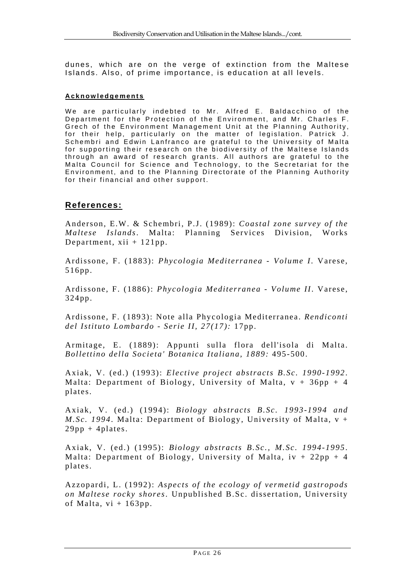dunes, which are on the verge of extinction from the Maltese Islands. Also, of prime importance, is education at all levels.

#### **Acknowledgements**

We are particularly indebted to Mr. Alfred E. Baldacchino of the Department for the Protection of the Environment, and Mr. Charles F. Grech of the Environment Management Unit at the Planning Authority, for their help, particularly on the matter of legislation. Patrick J. Schembri and Edwin Lanfranco are grateful to the University of Malta for supporting their research on the biodiversity of the Maltese Islands through an award of research grants. All authors are grateful to the Malta Council for Science and Technology, to the Secretariat for the Environment, and to the Planning Directorate of the Planning Authority for their financial and other support.

# **References:**

Anderson, E.W. & Schembri, P.J. (1989): *Coastal zone survey of the Maltese Islands*. Malta: Planning Services Division, Works Department,  $xii + 121pp$ .

Ardissone, F. (1883): *Phycologia Mediterranea - Volume I*. Varese, 516pp.

Ardissone, F. (1886): *Phycologia Mediterranea - Volume II*. Varese, 324pp.

Ardissone, F. (1893): Note alla Phycologia Mediterranea. *Rendiconti del Istituto Lombardo - Serie II, 27(17):* 17pp.

Armitage, E. (1889): Appunti sulla flora dell'isola di Malta. *Bollettino della Societa' Botanica Italiana, 1889:* 495-500.

Axiak, V. (ed.) (1993): *Elective project abstracts B.Sc. 1990-1992*. Malta: Department of Biology, University of Malta,  $v + 36pp + 4$ plates.

Axiak, V. (ed.) (1994): *Biology abstracts B.Sc. 1993-1994 and M.Sc. 1994*. Malta: Department of Biology, University of Malta, v +  $29pp + 4plates.$ 

Axiak, V. (ed.) (1995): *Biology abstracts B.Sc., M.Sc. 1994-1995*. Malta: Department of Biology, University of Malta,  $iv + 22pp + 4$ plates.

Azzopardi, L. (1992): *Aspects of the ecology of vermetid gastropods on Maltese rocky shores*. Unpublished B.Sc. dissertation, University of Malta,  $vi + 163pp$ .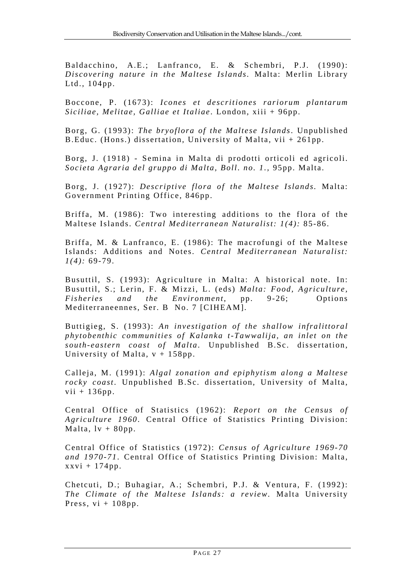Baldacchino, A.E.; Lanfranco, E. & Schembri, P.J. (1990): *Discovering nature in the Maltese Islands.* Malta: Merlin Library Ltd., 104pp.

Boccone, P. (1673): *Icones et descritiones rariorum plantarum Siciliae, Melitae, Galliae et Italiae*. London, xiii + 96pp.

Borg, G. (1993): *The bryoflora of the Maltese Islands*. Unpublished B.Educ. (Hons.) dissertation, University of Malta, vii + 261pp.

Borg, J. (1918) - Semina in Malta di prodotti orticoli ed agricoli. *Societa Agraria del gruppo di Malta, Boll. no. 1.,* 95pp. Malta.

Borg, J. (1927): *Descriptive flora of the Maltese Islands.* Malta: Government Printing Office, 846pp.

Briffa, M. (1986): Two interesting additions to the flora of the Maltese Islands. *Central Mediterranean Naturalist: 1(4):* 85-86.

Briffa, M. & Lanfranco, E. (1986): The macrofungi of the Maltese Islands: Additions and Notes. *Central Mediterranean Naturalist: 1(4):* 69-79.

Busuttil, S. (1993): Agriculture in Malta: A historical note. In: Busuttil, S.; Lerin, F. & Mizzi, L. (eds) *Malta: Food, Agriculture, Fisheries and the Environment*, pp. 9-26; Options Mediterraneennes, Ser. B No. 7 [CIHEAM].

Buttigieg, S. (1993): *An investigation of the shallow infralittoral phytobenthic communities of Kalanka t-Tawwalija, an inlet on the south-eastern coast of Malta*. Unpublished B.Sc. dissertation, University of Malta,  $v + 158$ pp.

Calleja, M. (1991): *Algal zonation and epiphytism along a Maltese rocky coast*. Unpublished B.Sc. dissertation, University of Malta, vii +  $136pp$ .

Central Office of Statistics (1962): *Report on the Census of Agriculture 1960*. Central Office of Statistics Printing Division: Malta,  $lv + 80pp$ .

Central Office of Statistics (1972): *Census of Agriculture 1969-70 and 1970-71*. Central Office of Statistics Printing Division: Malta,  $xxvi + 174pp.$ 

Chetcuti, D.; Buhagiar, A.; Schembri, P.J. & Ventura, F. (1992): *The Climate of the Maltese Islands: a review.* Malta University Press,  $vi + 108pp$ .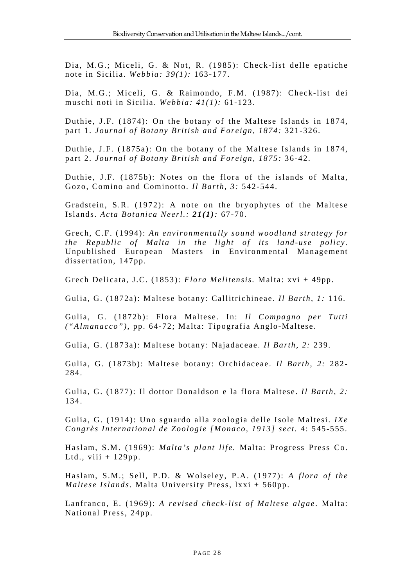Dia, M.G.; Miceli, G. & Not, R. (1985): Check-list delle epatiche note in Sicilia. *Webbia: 39(1):* 163-177.

Dia, M.G.; Miceli, G. & Raimondo, F.M. (1987): Check-list dei muschi noti in Sicilia. *Webbia: 41(1):* 61-123.

Duthie, J.F. (1874): On the botany of the Maltese Islands in 1874, part 1. *Journal of Botany British and Foreign, 1874:* 321-326.

Duthie, J.F. (1875a): On the botany of the Maltese Islands in 1874, part 2. *Journal of Botany British and Foreign, 1875:* 36-42.

Duthie, J.F. (1875b): Notes on the flora of the islands of Malta, Gozo, Comino and Cominotto. *Il Barth, 3:* 542-544.

Gradstein, S.R. (1972): A note on the bryophytes of the Maltese Islands. *Acta Botanica Neerl.: 21(1):* 67-70.

Grech, C.F. (1994): *An environmentally sound woodland strategy for the Republic of Malta in the light of its land-use policy* . Unpublished European Masters in Environmental Management dissertation, 147pp.

Grech Delicata, J.C. (1853): *Flora Melitensis.* Malta: xvi + 49pp.

Gulia, G. (1872a): Maltese botany: Callitrichineae. *Il Barth*, *1:* 116.

Gulia, G. (1872b): Flora Maltese. In: *Il Compagno per Tutti ("Almanacco")*, pp. 64-72; Malta: Tipografia Anglo-Maltese.

Gulia, G. (1873a): Maltese botany: Najadaceae. *Il Barth*, *2:* 239.

Gulia, G. (1873b): Maltese botany: Orchidaceae. *Il Barth*, *2:* 282- 284.

Gulia, G. (1877): Il dottor Donaldson e la flora Maltese. *Il Barth, 2:* 134.

Gulia, G. (1914): Uno sguardo alla zoologia delle Isole Maltesi. *IXe Congrès International de Zoologie [Monaco, 1913] sect. 4*: 545-555.

Haslam, S.M. (1969): *Malta's plant life.* Malta: Progress Press Co. Ltd., viii  $+ 129$ pp.

Haslam, S.M.; Sell, P.D. & Wolseley, P.A. (1977): *A flora of the Maltese Islands.* Malta University Press, lxxi + 560pp.

Lanfranco, E. (1969): *A revised check-list of Maltese algae* . Malta: National Press, 24pp.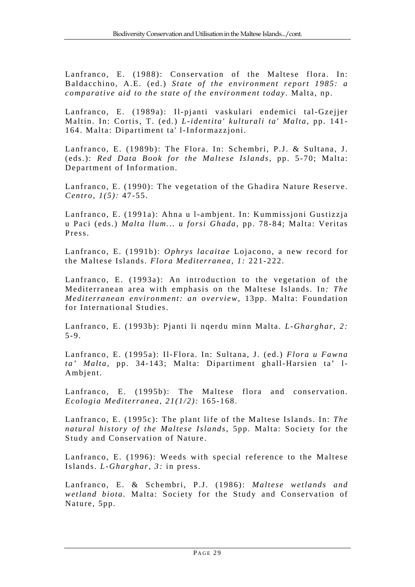Lanfranco, E. (1988): Conservation of the Maltese flora. In: Baldacchino, A.E. (ed.) *State of the environment report 1985: a comparative aid to the state of the environment today* . Malta, np.

Lanfranco, E. (1989a): Il-pjanti vaskulari endemici tal-Gzejjer Maltin. In: Cortis, T. (ed.) *L-identita' kulturali ta' Malta,* pp. 141- 164. Malta: Dipartiment ta' l-Informazzjoni.

Lanfranco, E. (1989b): The Flora. In: Schembri, P.J. & Sultana, J. (eds.): *Red Data Book for the Maltese Islands*, pp. 5-70; Malta: Department of Information.

Lanfranco, E. (1990): The vegetation of the Ghadira Nature Reserve. *Centro, 1(5):* 47-55.

Lanfranco, E. (1991a): Ahna u l-ambjent. In: Kummissjoni Gustizzja u Paci (eds.) *Malta llum... u forsi Ghada*, pp. 78-84; Malta: Veritas Press.

Lanfranco, E. (1991b): *Ophrys lacaitae* Lojacono, a new record for the Maltese Islands. *Flora Mediterranea, 1:* 221-222.

Lanfranco, E. (1993a): An introduction to the vegetation of the Mediterranean area with emphasis on the Maltese Islands. In*: The Mediterranean environment: an overview*, 13pp. Malta: Foundation for International Studies.

Lanfranco, E. (1993b): Pjanti li nqerdu minn Malta. *L-Gharghar, 2:* 5-9.

Lanfranco, E. (1995a): Il-Flora. In: Sultana, J. (ed.) *Flora u Fawna ta' Malta*, pp. 34-143; Malta: Dipartiment ghall-Harsien ta' l-Ambjent.

Lanfranco, E. (1995b): The Maltese flora and conservation. *Ecologia Mediterranea, 21(1/2):* 165-168.

Lanfranco, E. (1995c): The plant life of the Maltese Islands. In: *The natural history of the Maltese Islands*, 5pp. Malta: Society for the Study and Conservation of Nature.

Lanfranco, E. (1996): Weeds with special reference to the Maltese Islands. *L-Gharghar, 3:* in press.

Lanfranco, E. & Schembri, P.J. (1986): *Maltese wetlands and wetland biota.* Malta: Society for the Study and Conservation of Nature, 5pp.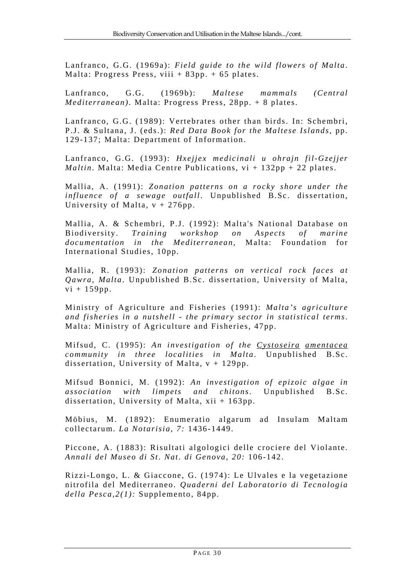Lanfranco, G.G. (1969a): *Field guide to the wild flowers of Malta*. Malta: Progress Press, viii  $+83$ pp.  $+65$  plates.

Lanfranco, G.G. (1969b): *Maltese mammals (Central Mediterranean)*. Malta: Progress Press, 28pp. + 8 plates.

Lanfranco, G.G. (1989): Vertebrates other than birds. In: Schembri, P.J. & Sultana, J. (eds.): *Red Data Book for the Maltese Islands*, pp. 129-137; Malta: Department of Information.

Lanfranco, G.G. (1993): *Hxejjex medicinali u ohrajn fil-Gzejjer Maltin*. Malta: Media Centre Publications, vi + 132pp + 22 plates.

Mallia, A. (1991): *Zonation patterns on a rocky shore under the influence of a sewage outfall*. Unpublished B.Sc. dissertation, University of Malta,  $v + 276$ pp.

Mallia, A. & Schembri, P.J. (1992): Malta's National Database on Biodiversity. *Training workshop on Aspects of marine documentation in the Mediterranean*, Malta: Foundation for International Studies, 10pp.

Mallia, R. (1993): *Zonation patterns on vertical rock faces at Qawra, Malta*. Unpublished B.Sc. dissertation, University of Malta,  $vi + 159pp.$ 

Ministry of Agriculture and Fisheries (1991): *Malta's agriculture and fisheries in a nutshell - the primary sector in statistical terms*. Malta: Ministry of Agriculture and Fisheries, 47pp.

Mifsud, C. (1995): *An investigation of the Cystoseira amentacea community in three localities in Malta*. Unpublished B.Sc. dissertation, University of Malta,  $v + 129$ pp.

Mifsud Bonnici, M. (1992): *An investigation of epizoic algae in association with limpets and chitons*. Unpublished B.Sc. dissertation, University of Malta, xii + 163pp.

Möbius, M. (1892): Enumeratio algarum ad Insulam Maltam collectarum. *La Notarisia, 7:* 1436-1449.

Piccone, A. (1883): Risultati algologici delle crociere del Violante. *Annali del Museo di St. Nat. di Genova, 20:* 106-142.

Rizzi-Longo, L. & Giaccone, G. (1974): Le Ulvales e la vegetazione nitrofila del Mediterraneo. *Quaderni del Laboratorio di Tecnologia della Pesca,2(1):* Supplemento, 84pp.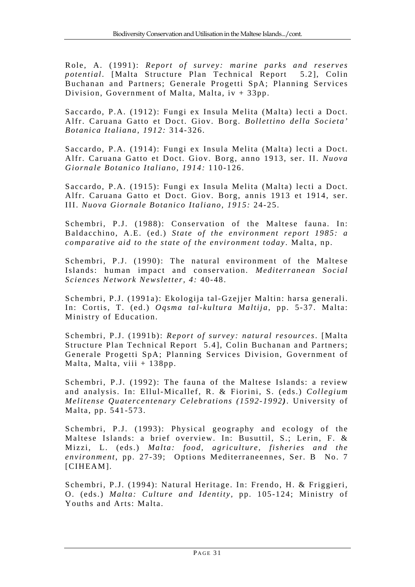Role, A. (1991): *Report of survey: marine parks and reserves potential*. [Malta Structure Plan Technical Report 5.2], Colin Buchanan and Partners; Generale Progetti SpA; Planning Services Division, Government of Malta, Malta, iv + 33pp.

Saccardo, P.A. (1912): Fungi ex Insula Melita (Malta) lecti a Doct. Alfr. Caruana Gatto et Doct. Giov. Borg. *Bollettino della Societa' Botanica Italiana, 1912:* 314-326.

Saccardo, P.A. (1914): Fungi ex Insula Melita (Malta) lecti a Doct. Alfr. Caruana Gatto et Doct. Giov. Borg, anno 1913, ser. II. *Nuova Giornale Botanico Italiano, 1914:* 110-126.

Saccardo, P.A. (1915): Fungi ex Insula Melita (Malta) lecti a Doct. Alfr. Caruana Gatto et Doct. Giov. Borg, annis 1913 et 1914, ser. III. *Nuova Giornale Botanico Italiano, 1915:* 24-25.

Schembri, P.J. (1988): Conservation of the Maltese fauna. In: Baldacchino, A.E. (ed.) *State of the environment report 1985: a comparative aid to the state of the environment today* . Malta, np.

Schembri, P.J. (1990): The natural environment of the Maltese Islands: human impact and conservation. *Mediterranean Social Sciences Network Newsletter, 4:* 40-48.

Schembri, P.J. (1991a): Ekologija tal-Gzejjer Maltin: harsa generali. In: Cortis, T. (ed.) *Oqsma tal-kultura Maltija*, pp. 5-37. Malta: Ministry of Education.

Schembri, P.J. (1991b): *Report of survey: natural resources*. [Malta Structure Plan Technical Report 5.4], Colin Buchanan and Partners; Generale Progetti SpA; Planning Services Division, Government of Malta, Malta, viii + 138pp.

Schembri, P.J. (1992): The fauna of the Maltese Islands: a review and analysis. In: Ellul-Micallef, R. & Fiorini, S. (eds.) *Collegium Melitense Quatercentenary Celebrations (1592-1992)*. University of Malta, pp. 541-573.

Schembri, P.J. (1993): Physical geography and ecology of the Maltese Islands: a brief overview. In: Busuttil, S.; Lerin, F. & Mizzi, L. (eds.) *Malta: food, agriculture, fisheries and the environment*, pp. 27-39; Options Mediterraneennes, Ser. B No. 7 [CIHEAM].

Schembri, P.J. (1994): Natural Heritage. In: Frendo, H. & Friggieri, O. (eds.) *Malta: Culture and Identity,* pp. 105-124; Ministry of Youths and Arts: Malta.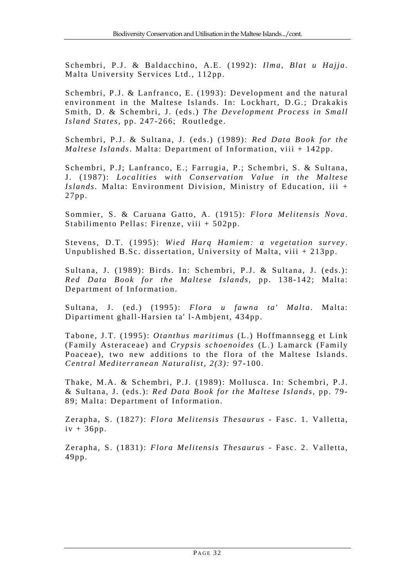Schembri, P.J. & Baldacchino, A.E. (1992): *Ilma, Blat u Hajja*. Malta University Services Ltd., 112pp.

Schembri, P.J. & Lanfranco, E. (1993): Development and the natural environment in the Maltese Islands. In: Lockhart, D.G.; Drakakis Smith, D. & Schembri, J. (eds.) *The Development Process in Small Island States*, pp. 247-266; Routledge.

Schembri, P.J. & Sultana, J. (eds.) (1989): *Red Data Book for the Maltese Islands*. Malta: Department of Information, viii + 142pp.

Schembri, P.J; Lanfranco, E.; Farrugia, P.; Schembri, S. & Sultana, J. (1987): *Localities with Conservation Value in the Maltese Islands.* Malta: Environment Division, Ministry of Education, iii + 27pp.

Sommier, S. & Caruana Gatto, A. (1915): *Flora Melitensis Nova.* Stabilimento Pellas: Firenze, viii + 502pp.

Stevens, D.T. (1995): *Wied Harq Hamiem: a vegetation survey* . Unpublished B.Sc. dissertation, University of Malta, viii + 213pp.

Sultana, J. (1989): Birds. In: Schembri, P.J. & Sultana, J. (eds.): *Red Data Book for the Maltese Islands*, pp. 138-142; Malta: Department of Information.

Sultana, J. (ed.) (1995): *Flora u fawna ta' Malta*. Malta: Dipartiment ghall-Harsien ta' l-Ambjent, 434pp.

Tabone, J.T. (1995): *Otanthus maritimus* (L.) Hoffmannsegg et Link (Family Asteraceae) and *Crypsis schoenoides* (L.) Lamarck (Family Poaceae), two new additions to the flora of the Maltese Islands. *Central Mediterranean Naturalist, 2(3):* 97-100.

Thake, M.A. & Schembri, P.J. (1989): Mollusca. In: Schembri, P.J. & Sultana, J. (eds.): *Red Data Book for the Maltese Islands*, pp. 79- 89; Malta: Department of Information.

Zerapha, S. (1827): *Flora Melitensis Thesaurus* - Fasc. 1. Valletta,  $iv + 36pp.$ 

Zerapha, S. (1831): *Flora Melitensis Thesaurus* - Fasc. 2. Valletta, 49pp.